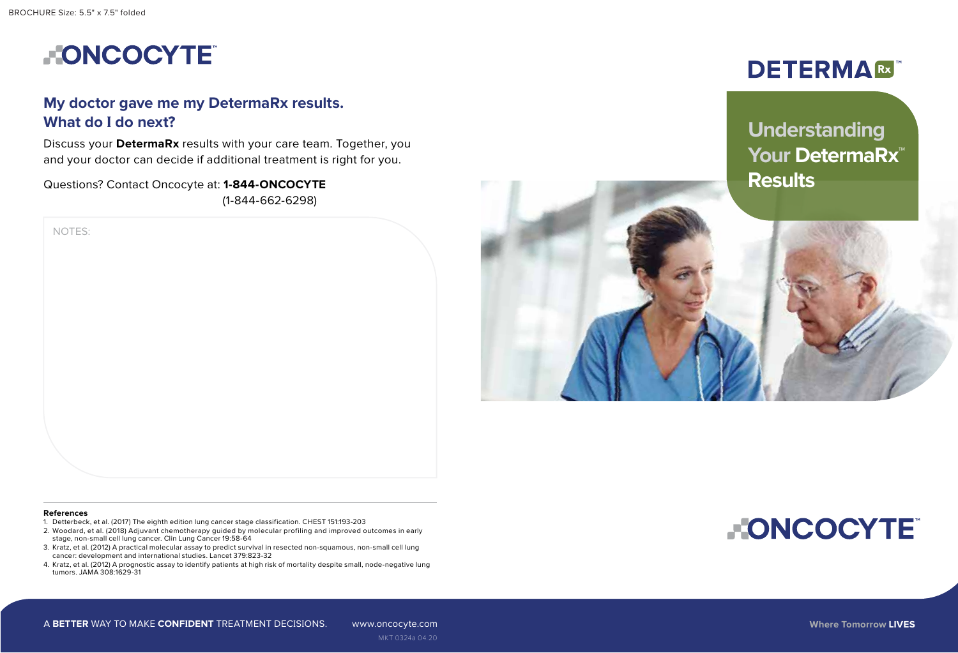BROCHURE Size: 5.5" x 7.5" folded

NOTES:



## **My doctor gave me my DetermaRx results. What do I do next?**

Discuss your **DetermaRx** results with your care team. Together, you and your doctor can decide if additional treatment is right for you.

Questions? Contact Oncocyte at: **1-844-ONCOCYTE** (1-844-662-6298)

# **DETERMA®**

# **Understanding Your DetermaRx**™ **Results**



#### **References**

- 1. Detterbeck, et al. (2017) The eighth edition lung cancer stage classification. CHEST 151:193-203
- 2. Woodard, et al. (2018) Adjuvant chemotherapy guided by molecular profiling and improved outcomes in early stage, non-small cell lung cancer. Clin Lung Cancer 19:58-64
- 3. Kratz, et al. (2012) A practical molecular assay to predict survival in resected non-squamous, non-small cell lung cancer: development and international studies. Lancet 379:823-32
- 4. Kratz, et al. (2012) A prognostic assay to identify patients at high risk of mortality despite small, node-negative lung tumors. JAMA 308:1629-31

**FONCOCYTE**